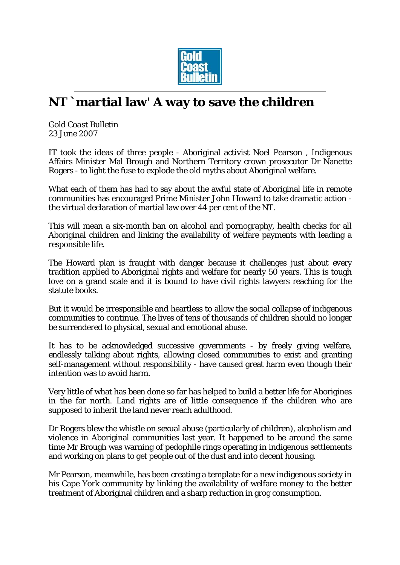

## **NT `martial law' A way to save the children**

*Gold Coast Bulletin* 23 June 2007

IT took the ideas of three people - Aboriginal activist Noel Pearson , Indigenous Affairs Minister Mal Brough and Northern Territory crown prosecutor Dr Nanette Rogers - to light the fuse to explode the old myths about Aboriginal welfare.

What each of them has had to say about the awful state of Aboriginal life in remote communities has encouraged Prime Minister John Howard to take dramatic action the virtual declaration of martial law over 44 per cent of the NT.

This will mean a six-month ban on alcohol and pornography, health checks for all Aboriginal children and linking the availability of welfare payments with leading a responsible life.

The Howard plan is fraught with danger because it challenges just about every tradition applied to Aboriginal rights and welfare for nearly 50 years. This is tough love on a grand scale and it is bound to have civil rights lawyers reaching for the statute books.

But it would be irresponsible and heartless to allow the social collapse of indigenous communities to continue. The lives of tens of thousands of children should no longer be surrendered to physical, sexual and emotional abuse.

It has to be acknowledged successive governments - by freely giving welfare, endlessly talking about rights, allowing closed communities to exist and granting self-management without responsibility - have caused great harm even though their intention was to avoid harm.

Very little of what has been done so far has helped to build a better life for Aborigines in the far north. Land rights are of little consequence if the children who are supposed to inherit the land never reach adulthood.

Dr Rogers blew the whistle on sexual abuse (particularly of children), alcoholism and violence in Aboriginal communities last year. It happened to be around the same time Mr Brough was warning of pedophile rings operating in indigenous settlements and working on plans to get people out of the dust and into decent housing.

Mr Pearson, meanwhile, has been creating a template for a new indigenous society in his Cape York community by linking the availability of welfare money to the better treatment of Aboriginal children and a sharp reduction in grog consumption.